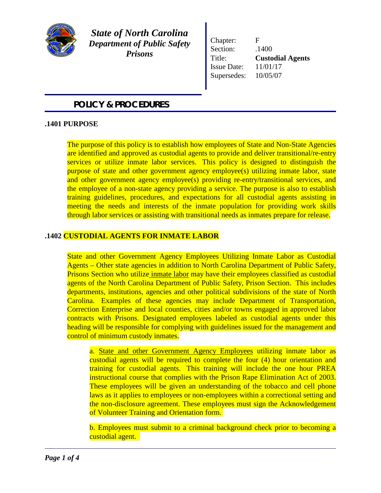

*State of North Carolina Department of Public Safety Prisons*

Chapter: F Section:  $.1400$ Title: **Custodial Agents**  Issue Date: 11/01/17 Supersedes: 10/05/07

# *POLICY & PROCEDURES*

## **.1401 PURPOSE**

The purpose of this policy is to establish how employees of State and Non-State Agencies are identified and approved as custodial agents to provide and deliver transitional/re-entry services or utilize inmate labor services. This policy is designed to distinguish the purpose of state and other government agency employee(s) utilizing inmate labor, state and other government agency employee(s) providing re-entry/transitional services, and the employee of a non-state agency providing a service. The purpose is also to establish training guidelines, procedures, and expectations for all custodial agents assisting in meeting the needs and interests of the inmate population for providing work skills through labor services or assisting with transitional needs as inmates prepare for release.

### **.1402 CUSTODIAL AGENTS FOR INMATE LABOR**

State and other Government Agency Employees Utilizing Inmate Labor as Custodial Agents – Other state agencies in addition to North Carolina Department of Public Safety, Prisons Section who utilize inmate labor may have their employees classified as custodial agents of the North Carolina Department of Public Safety, Prison Section. This includes departments, institutions, agencies and other political subdivisions of the state of North Carolina. Examples of these agencies may include Department of Transportation, Correction Enterprise and local counties, cities and/or towns engaged in approved labor contracts with Prisons. Designated employees labeled as custodial agents under this heading will be responsible for complying with guidelines issued for the management and control of minimum custody inmates.

a. State and other Government Agency Employees utilizing inmate labor as custodial agents will be required to complete the four (4) hour orientation and training for custodial agents. This training will include the one hour PREA instructional course that complies with the Prison Rape Elimination Act of 2003. These employees will be given an understanding of the tobacco and cell phone laws as it applies to employees or non-employees within a correctional setting and the non-disclosure agreement. These employees must sign the Acknowledgement of Volunteer Training and Orientation form.

b. Employees must submit to a criminal background check prior to becoming a custodial agent.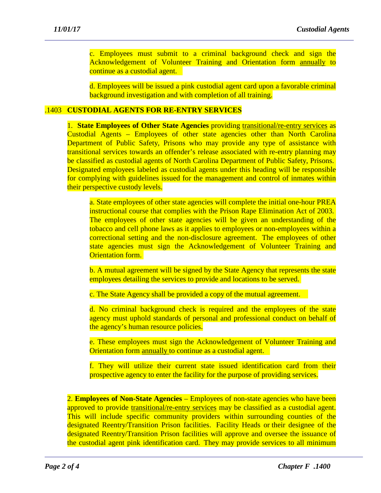c. Employees must submit to a criminal background check and sign the Acknowledgement of Volunteer Training and Orientation form annually to continue as a custodial agent.

d. Employees will be issued a pink custodial agent card upon a favorable criminal background investigation and with completion of all training.

#### .1403 **CUSTODIAL AGENTS FOR RE-ENTRY SERVICES**

1. **State Employees of Other State Agencies** providing transitional/re-entry services as Custodial Agents – Employees of other state agencies other than North Carolina Department of Public Safety, Prisons who may provide any type of assistance with transitional services towards an offender's release associated with re-entry planning may be classified as custodial agents of North Carolina Department of Public Safety, Prisons. Designated employees labeled as custodial agents under this heading will be responsible for complying with guidelines issued for the management and control of inmates within their perspective custody levels.

a. State employees of other state agencies will complete the initial one-hour PREA instructional course that complies with the Prison Rape Elimination Act of 2003. The employees of other state agencies will be given an understanding of the tobacco and cell phone laws as it applies to employees or non-employees within a correctional setting and the non-disclosure agreement. The employees of other state agencies must sign the Acknowledgement of Volunteer Training and **Orientation form.** 

b. A mutual agreement will be signed by the State Agency that represents the state employees detailing the services to provide and locations to be served.

c. The State Agency shall be provided a copy of the mutual agreement.

d. No criminal background check is required and the employees of the state agency must uphold standards of personal and professional conduct on behalf of the agency's human resource policies.

e. These employees must sign the Acknowledgement of Volunteer Training and Orientation form annually to continue as a custodial agent.

f. They will utilize their current state issued identification card from their prospective agency to enter the facility for the purpose of providing services.

2. **Employees of Non-State Agencies** – Employees of non-state agencies who have been approved to provide transitional/re-entry services may be classified as a custodial agent. This will include specific community providers within surrounding counties of the designated Reentry/Transition Prison facilities. Facility Heads or their designee of the designated Reentry/Transition Prison facilities will approve and oversee the issuance of the custodial agent pink identification card. They may provide services to all minimum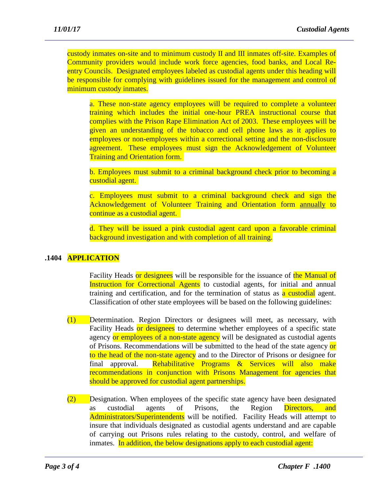custody inmates on-site and to minimum custody II and III inmates off-site. Examples of Community providers would include work force agencies, food banks, and Local Reentry Councils. Designated employees labeled as custodial agents under this heading will be responsible for complying with guidelines issued for the management and control of minimum custody inmates.

a. These non-state agency employees will be required to complete a volunteer training which includes the initial one-hour PREA instructional course that complies with the Prison Rape Elimination Act of 2003. These employees will be given an understanding of the tobacco and cell phone laws as it applies to employees or non-employees within a correctional setting and the non-disclosure agreement. These employees must sign the Acknowledgement of Volunteer Training and Orientation form.

b. Employees must submit to a criminal background check prior to becoming a custodial agent.

c. Employees must submit to a criminal background check and sign the Acknowledgement of Volunteer Training and Orientation form annually to continue as a custodial agent.

d. They will be issued a pink custodial agent card upon a favorable criminal background investigation and with completion of all training.

### **.1404 APPLICATION**

Facility Heads or designees will be responsible for the issuance of the Manual of Instruction for Correctional Agents to custodial agents, for initial and annual training and certification, and for the termination of status as a custodial agent. Classification of other state employees will be based on the following guidelines:

- (1) Determination. Region Directors or designees will meet, as necessary, with Facility Heads or designees to determine whether employees of a specific state agency or employees of a non-state agency will be designated as custodial agents of Prisons. Recommendations will be submitted to the head of the state agency or to the head of the non-state agency and to the Director of Prisons or designee for final approval. Rehabilitative Programs & Services will also make recommendations in conjunction with Prisons Management for agencies that should be approved for custodial agent partnerships.
- (2) Designation. When employees of the specific state agency have been designated as custodial agents of Prisons, the Region Directors, and Administrators/Superintendents will be notified. Facility Heads will attempt to insure that individuals designated as custodial agents understand and are capable of carrying out Prisons rules relating to the custody, control, and welfare of inmates. In addition, the below designations apply to each custodial agent: